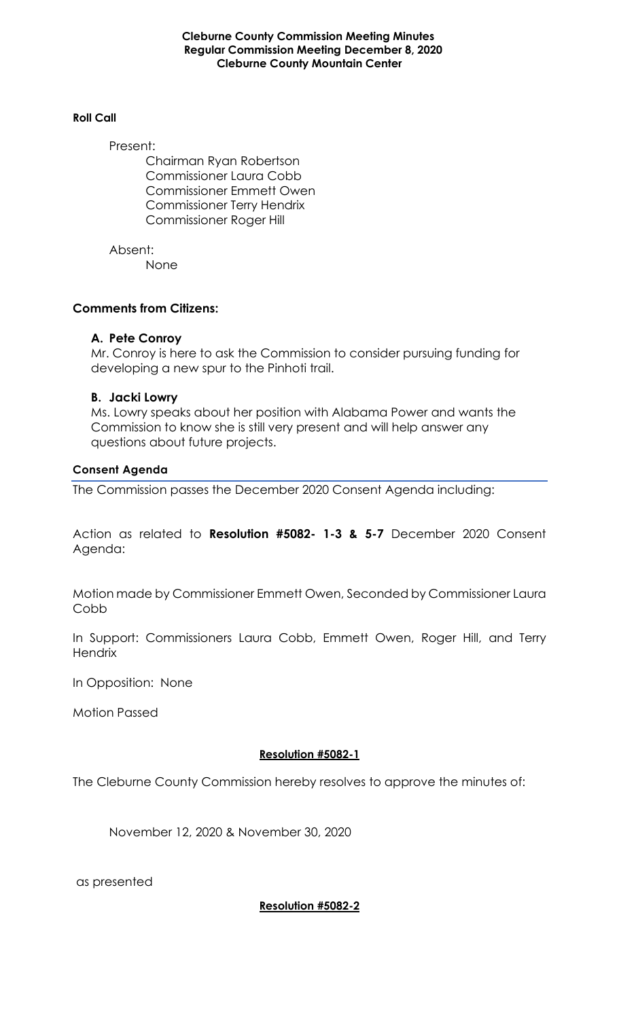**Cleburne County Commission Meeting Minutes Regular Commission Meeting December 8, 2020 Cleburne County Mountain Center**

#### **Roll Call**

Present:

Chairman Ryan Robertson Commissioner Laura Cobb Commissioner Emmett Owen Commissioner Terry Hendrix Commissioner Roger Hill

Absent: None

### **Comments from Citizens:**

### **A. Pete Conroy**

Mr. Conroy is here to ask the Commission to consider pursuing funding for developing a new spur to the Pinhoti trail.

### **B. Jacki Lowry**

Ms. Lowry speaks about her position with Alabama Power and wants the Commission to know she is still very present and will help answer any questions about future projects.

#### **Consent Agenda**

The Commission passes the December 2020 Consent Agenda including:

Action as related to **Resolution #5082- 1-3 & 5-7** December 2020 Consent Agenda:

Motion made by Commissioner Emmett Owen, Seconded by Commissioner Laura Cobb

In Support: Commissioners Laura Cobb, Emmett Owen, Roger Hill, and Terry **Hendrix** 

In Opposition: None

Motion Passed

# **Resolution #5082-1**

The Cleburne County Commission hereby resolves to approve the minutes of:

November 12, 2020 & November 30, 2020

as presented

**Resolution #5082-2**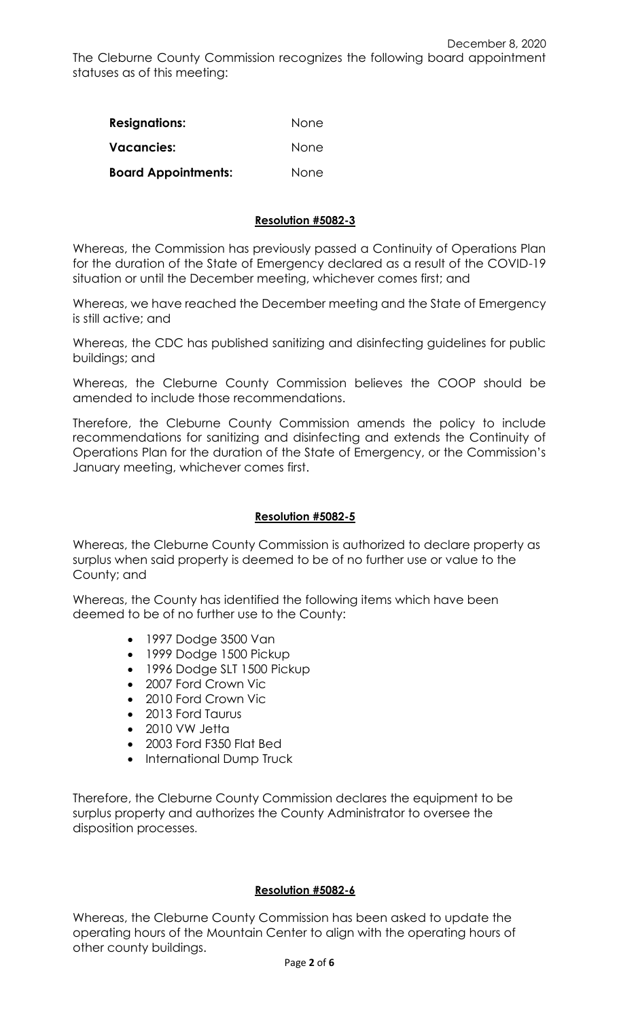| <b>Resignations:</b>       | None |
|----------------------------|------|
| Vacancies:                 | None |
| <b>Board Appointments:</b> | None |

# **Resolution #5082-3**

Whereas, the Commission has previously passed a Continuity of Operations Plan for the duration of the State of Emergency declared as a result of the COVID-19 situation or until the December meeting, whichever comes first; and

Whereas, we have reached the December meeting and the State of Emergency is still active; and

Whereas, the CDC has published sanitizing and disinfecting guidelines for public buildings; and

Whereas, the Cleburne County Commission believes the COOP should be amended to include those recommendations.

Therefore, the Cleburne County Commission amends the policy to include recommendations for sanitizing and disinfecting and extends the Continuity of Operations Plan for the duration of the State of Emergency, or the Commission's January meeting, whichever comes first.

## **Resolution #5082-5**

Whereas, the Cleburne County Commission is authorized to declare property as surplus when said property is deemed to be of no further use or value to the County; and

Whereas, the County has identified the following items which have been deemed to be of no further use to the County:

- 1997 Dodge 3500 Van
- 1999 Dodge 1500 Pickup
- 1996 Dodge SLT 1500 Pickup
- 2007 Ford Crown Vic
- 2010 Ford Crown Vic
- 2013 Ford Taurus
- 2010 VW Jetta
- 2003 Ford F350 Flat Bed
- International Dump Truck

Therefore, the Cleburne County Commission declares the equipment to be surplus property and authorizes the County Administrator to oversee the disposition processes.

### **Resolution #5082-6**

Whereas, the Cleburne County Commission has been asked to update the operating hours of the Mountain Center to align with the operating hours of other county buildings.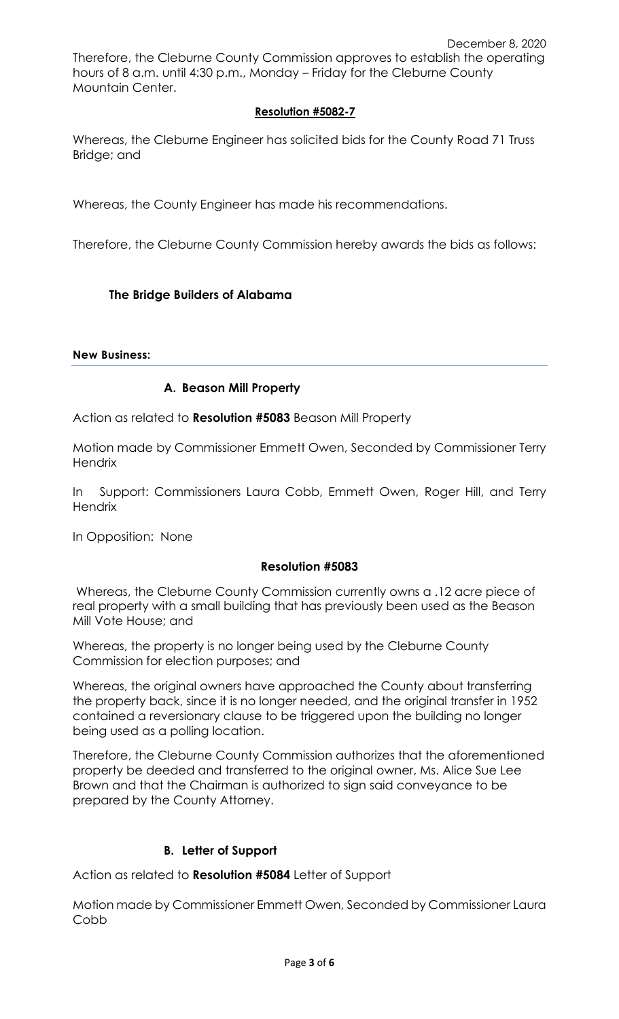# **Resolution #5082-7**

Whereas, the Cleburne Engineer has solicited bids for the County Road 71 Truss Bridge; and

Whereas, the County Engineer has made his recommendations.

Therefore, the Cleburne County Commission hereby awards the bids as follows:

# **The Bridge Builders of Alabama**

#### **New Business:**

# **A. Beason Mill Property**

Action as related to **Resolution #5083** Beason Mill Property

Motion made by Commissioner Emmett Owen, Seconded by Commissioner Terry **Hendrix** 

In Support: Commissioners Laura Cobb, Emmett Owen, Roger Hill, and Terry **Hendrix** 

In Opposition: None

### **Resolution #5083**

Whereas, the Cleburne County Commission currently owns a .12 acre piece of real property with a small building that has previously been used as the Beason Mill Vote House; and

Whereas, the property is no longer being used by the Cleburne County Commission for election purposes; and

Whereas, the original owners have approached the County about transferring the property back, since it is no longer needed, and the original transfer in 1952 contained a reversionary clause to be triggered upon the building no longer being used as a polling location.

Therefore, the Cleburne County Commission authorizes that the aforementioned property be deeded and transferred to the original owner, Ms. Alice Sue Lee Brown and that the Chairman is authorized to sign said conveyance to be prepared by the County Attorney.

# **B. Letter of Support**

Action as related to **Resolution #5084** Letter of Support

Motion made by Commissioner Emmett Owen, Seconded by Commissioner Laura Cobb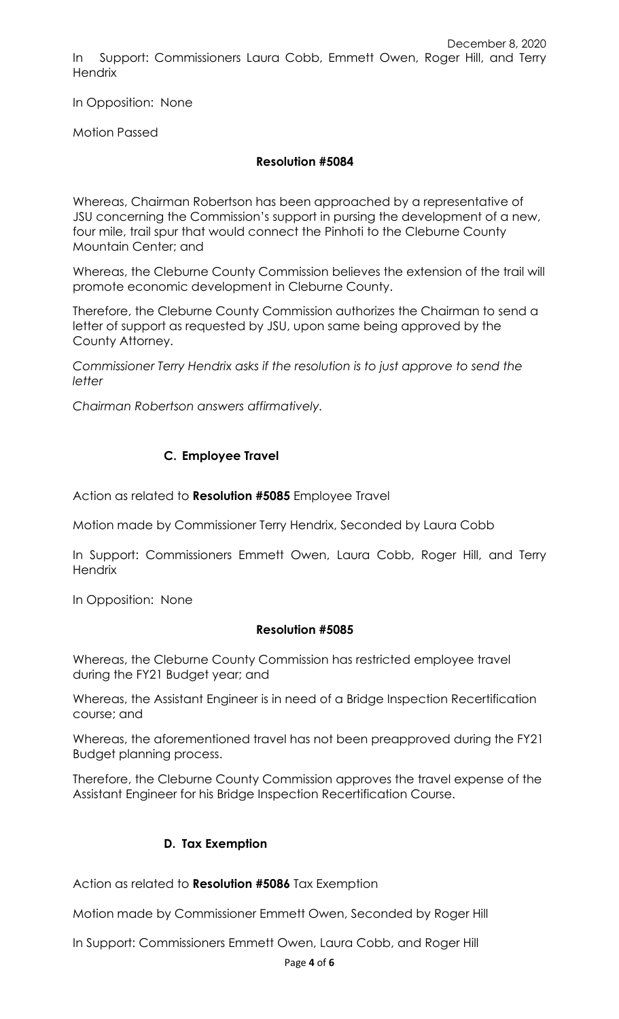December 8, 2020 In Support: Commissioners Laura Cobb, Emmett Owen, Roger Hill, and Terry **Hendrix** 

In Opposition: None

Motion Passed

# **Resolution #5084**

Whereas, Chairman Robertson has been approached by a representative of JSU concerning the Commission's support in pursing the development of a new, four mile, trail spur that would connect the Pinhoti to the Cleburne County Mountain Center; and

Whereas, the Cleburne County Commission believes the extension of the trail will promote economic development in Cleburne County.

Therefore, the Cleburne County Commission authorizes the Chairman to send a letter of support as requested by JSU, upon same being approved by the County Attorney.

*Commissioner Terry Hendrix asks if the resolution is to just approve to send the letter*

*Chairman Robertson answers affirmatively.*

# **C. Employee Travel**

Action as related to **Resolution #5085** Employee Travel

Motion made by Commissioner Terry Hendrix, Seconded by Laura Cobb

In Support: Commissioners Emmett Owen, Laura Cobb, Roger Hill, and Terry **Hendrix** 

In Opposition: None

### **Resolution #5085**

Whereas, the Cleburne County Commission has restricted employee travel during the FY21 Budget year; and

Whereas, the Assistant Engineer is in need of a Bridge Inspection Recertification course; and

Whereas, the aforementioned travel has not been preapproved during the FY21 Budget planning process.

Therefore, the Cleburne County Commission approves the travel expense of the Assistant Engineer for his Bridge Inspection Recertification Course.

### **D. Tax Exemption**

Action as related to **Resolution #5086** Tax Exemption

Motion made by Commissioner Emmett Owen, Seconded by Roger Hill

In Support: Commissioners Emmett Owen, Laura Cobb, and Roger Hill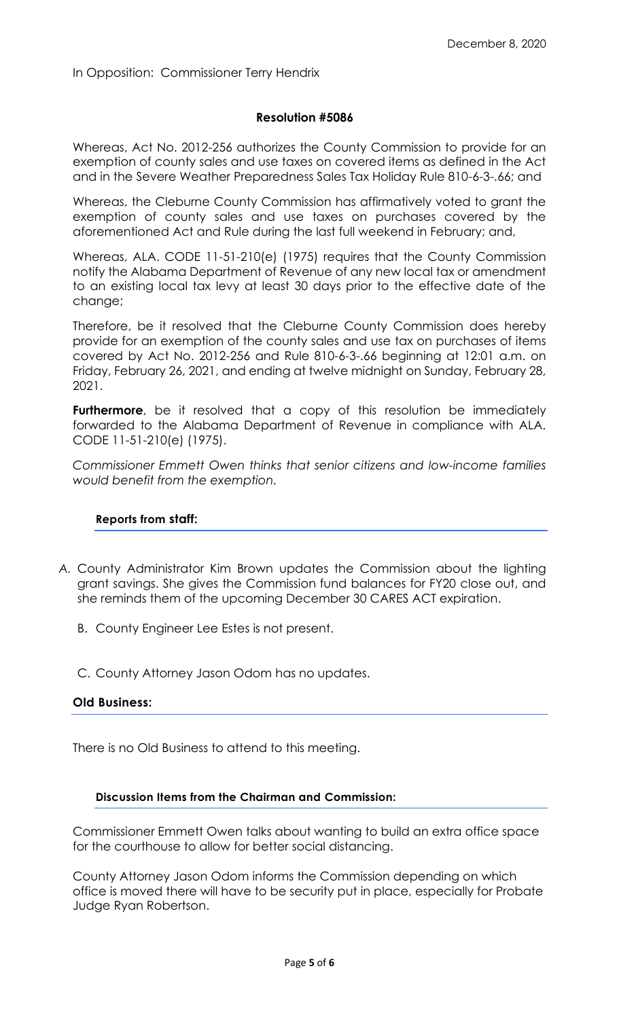#### **Resolution #5086**

Whereas, Act No. 2012-256 authorizes the County Commission to provide for an exemption of county sales and use taxes on covered items as defined in the Act and in the Severe Weather Preparedness Sales Tax Holiday Rule 810-6-3-.66; and

Whereas, the Cleburne County Commission has affirmatively voted to grant the exemption of county sales and use taxes on purchases covered by the aforementioned Act and Rule during the last full weekend in February; and,

Whereas, ALA. CODE 11-51-210(e) (1975) requires that the County Commission notify the Alabama Department of Revenue of any new local tax or amendment to an existing local tax levy at least 30 days prior to the effective date of the change;

Therefore, be it resolved that the Cleburne County Commission does hereby provide for an exemption of the county sales and use tax on purchases of items covered by Act No. 2012-256 and Rule 810-6-3-.66 beginning at 12:01 a.m. on Friday, February 26, 2021, and ending at twelve midnight on Sunday, February 28, 2021.

**Furthermore**, be it resolved that a copy of this resolution be immediately forwarded to the Alabama Department of Revenue in compliance with ALA. CODE 11-51-210(e) (1975).

*Commissioner Emmett Owen thinks that senior citizens and low-income families would benefit from the exemption.*

#### **Reports from staff:**

- *A.* County Administrator Kim Brown updates the Commission about the lighting grant savings. She gives the Commission fund balances for FY20 close out, and she reminds them of the upcoming December 30 CARES ACT expiration.
	- B. County Engineer Lee Estes is not present.
	- C. County Attorney Jason Odom has no updates.

#### **Old Business:**

There is no Old Business to attend to this meeting.

### **Discussion Items from the Chairman and Commission:**

Commissioner Emmett Owen talks about wanting to build an extra office space for the courthouse to allow for better social distancing.

County Attorney Jason Odom informs the Commission depending on which office is moved there will have to be security put in place, especially for Probate Judge Ryan Robertson.